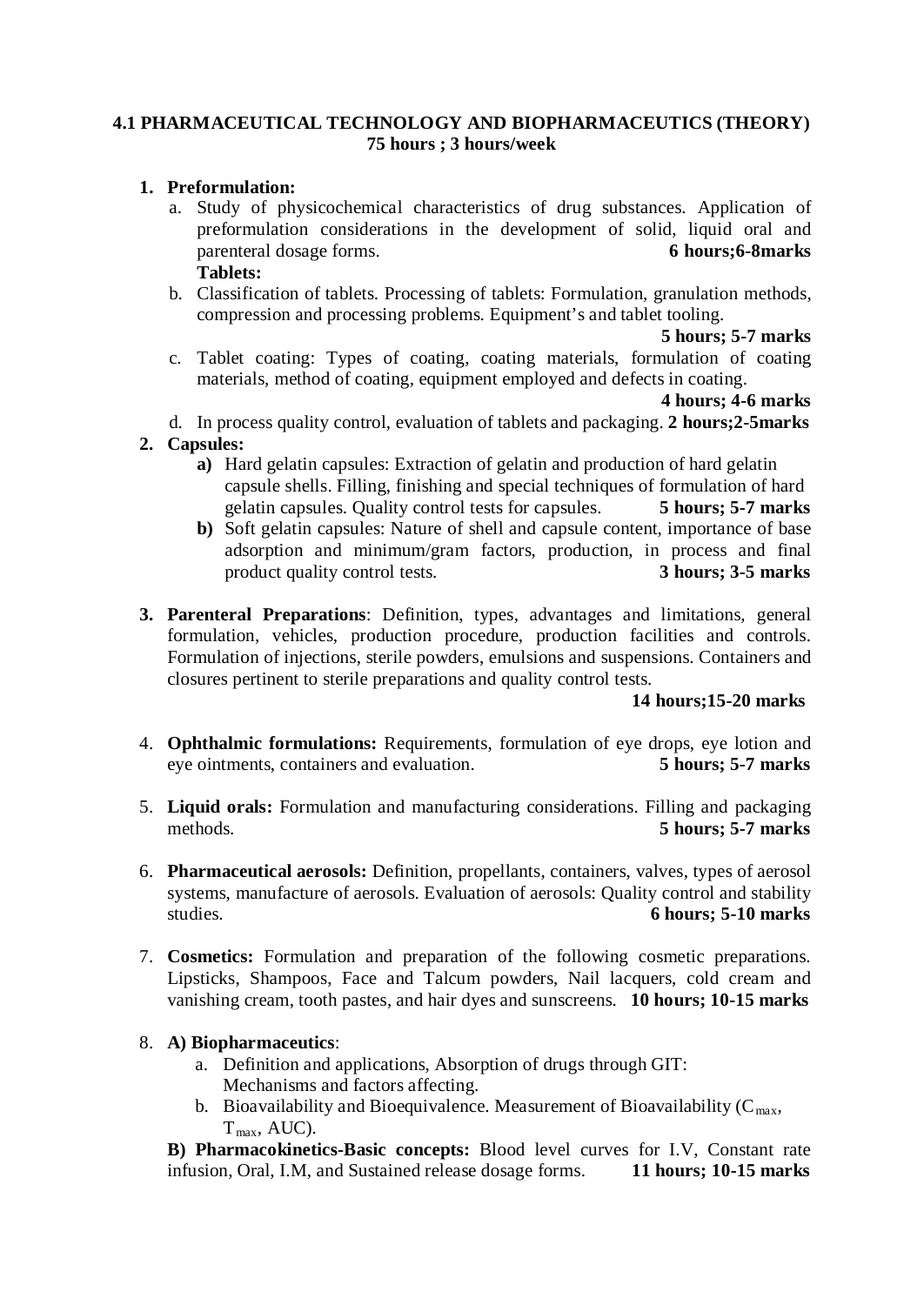#### **4.1 PHARMACEUTICAL TECHNOLOGY AND BIOPHARMACEUTICS (THEORY) 75 hours ; 3 hours/week**

#### **1. Preformulation:**

- a. Study of physicochemical characteristics of drug substances. Application of preformulation considerations in the development of solid, liquid oral and parenteral dosage forms. 6 hours: 6-8 marks **parenteral dosage forms. Tablets:**
- b. Classification of tablets. Processing of tablets: Formulation, granulation methods, compression and processing problems. Equipment's and tablet tooling.

**5 hours; 5-7 marks**

c. Tablet coating: Types of coating, coating materials, formulation of coating materials, method of coating, equipment employed and defects in coating.

**4 hours; 4-6 marks** 

- d. In process quality control, evaluation of tablets and packaging. **2 hours;2-5marks**
- **2. Capsules:** 
	- **a)** Hard gelatin capsules: Extraction of gelatin and production of hard gelatin capsule shells. Filling, finishing and special techniques of formulation of hard gelatin capsules. Quality control tests for capsules. **5 hours; 5-7 marks**
	- **b)** Soft gelatin capsules: Nature of shell and capsule content, importance of base adsorption and minimum/gram factors, production, in process and final product quality control tests. **3 hours; 3-5 marks**
- **3. Parenteral Preparations**: Definition, types, advantages and limitations, general formulation, vehicles, production procedure, production facilities and controls. Formulation of injections, sterile powders, emulsions and suspensions. Containers and closures pertinent to sterile preparations and quality control tests.

#### **14 hours;15-20 marks**

- 4. **Ophthalmic formulations:** Requirements, formulation of eye drops, eye lotion and eye ointments, containers and evaluation. **5 hours; 5-7 marks**
- 5. **Liquid orals:** Formulation and manufacturing considerations. Filling and packaging methods. **5 hours; 5-7 marks**
- 6. **Pharmaceutical aerosols:** Definition, propellants, containers, valves, types of aerosol systems, manufacture of aerosols. Evaluation of aerosols: Quality control and stability studies. **6 hours; 5-10 marks**
- 7. **Cosmetics:** Formulation and preparation of the following cosmetic preparations. Lipsticks, Shampoos, Face and Talcum powders, Nail lacquers, cold cream and vanishing cream, tooth pastes, and hair dyes and sunscreens. **10 hours; 10-15 marks**

#### 8. **A) Biopharmaceutics**:

- a. Definition and applications, Absorption of drugs through GIT: Mechanisms and factors affecting.
- b. Bioavailability and Bioequivalence. Measurement of Bioavailability ( $C_{\text{max}}$ ,  $T_{\text{max}}$ , AUC).

**B) Pharmacokinetics-Basic concepts:** Blood level curves for I.V, Constant rate infusion, Oral, I.M, and Sustained release dosage forms. **11 hours; 10-15 marks**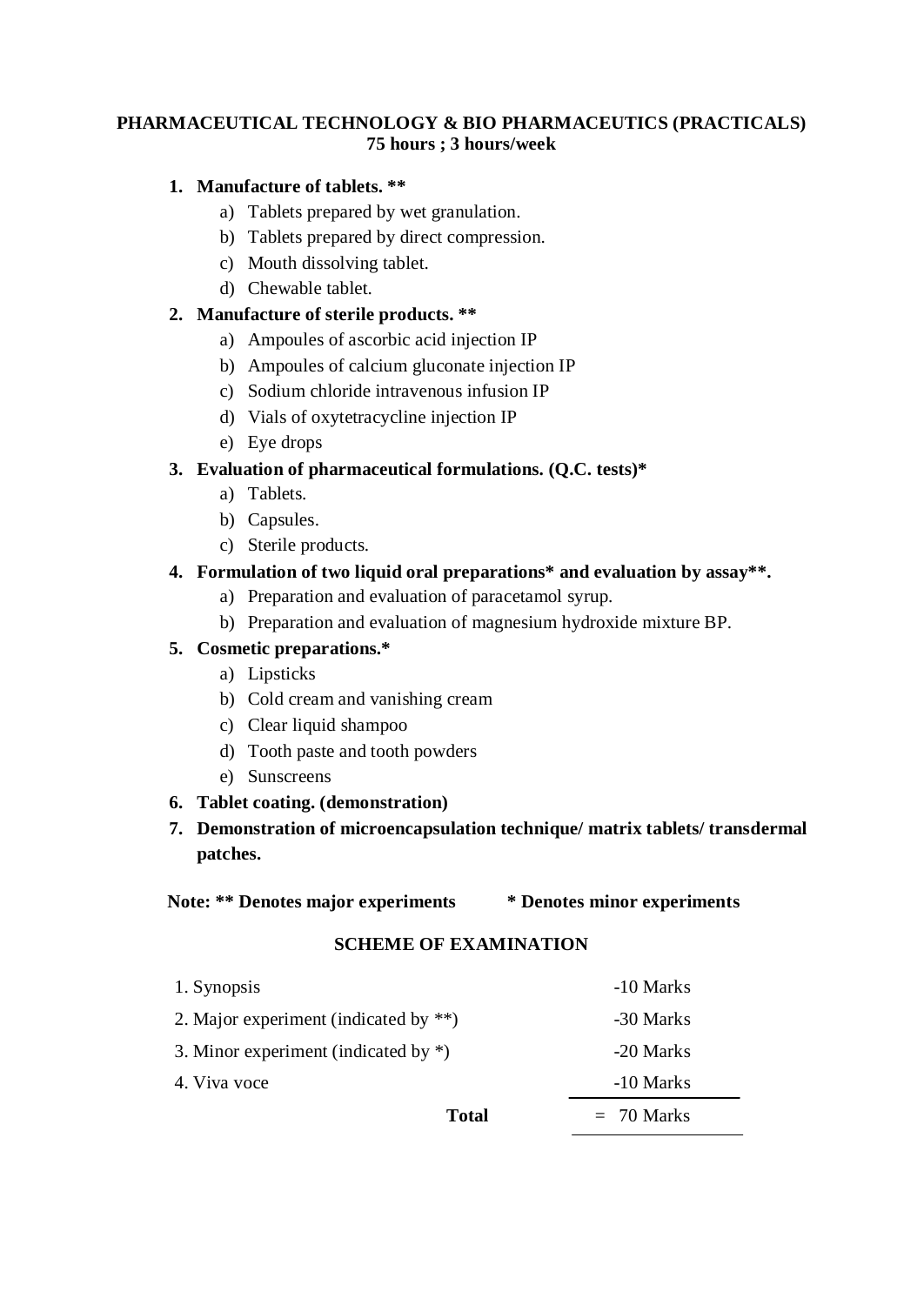## **PHARMACEUTICAL TECHNOLOGY & BIO PHARMACEUTICS (PRACTICALS) 75 hours ; 3 hours/week**

# **1. Manufacture of tablets. \*\***

- a) Tablets prepared by wet granulation.
- b) Tablets prepared by direct compression.
- c) Mouth dissolving tablet.
- d) Chewable tablet.

## **2. Manufacture of sterile products. \*\***

- a) Ampoules of ascorbic acid injection IP
- b) Ampoules of calcium gluconate injection IP
- c) Sodium chloride intravenous infusion IP
- d) Vials of oxytetracycline injection IP
- e) Eye drops

# **3. Evaluation of pharmaceutical formulations. (Q.C. tests)\***

- a) Tablets.
- b) Capsules.
- c) Sterile products.

# **4. Formulation of two liquid oral preparations\* and evaluation by assay\*\*.**

- a) Preparation and evaluation of paracetamol syrup.
- b) Preparation and evaluation of magnesium hydroxide mixture BP.

# **5. Cosmetic preparations.\***

- a) Lipsticks
- b) Cold cream and vanishing cream
- c) Clear liquid shampoo
- d) Tooth paste and tooth powders
- e) Sunscreens

### **6. Tablet coating. (demonstration)**

**7. Demonstration of microencapsulation technique/ matrix tablets/ transdermal patches.** 

#### **Note: \*\* Denotes major experiments \* Denotes minor experiments**

### **SCHEME OF EXAMINATION**

|                                          | <b>Total</b> | $= 70$ Marks |
|------------------------------------------|--------------|--------------|
| 4. Viva voce                             |              | -10 Marks    |
| 3. Minor experiment (indicated by $*$ )  |              | -20 Marks    |
| 2. Major experiment (indicated by $**$ ) |              | -30 Marks    |
| 1. Synopsis                              |              | -10 Marks    |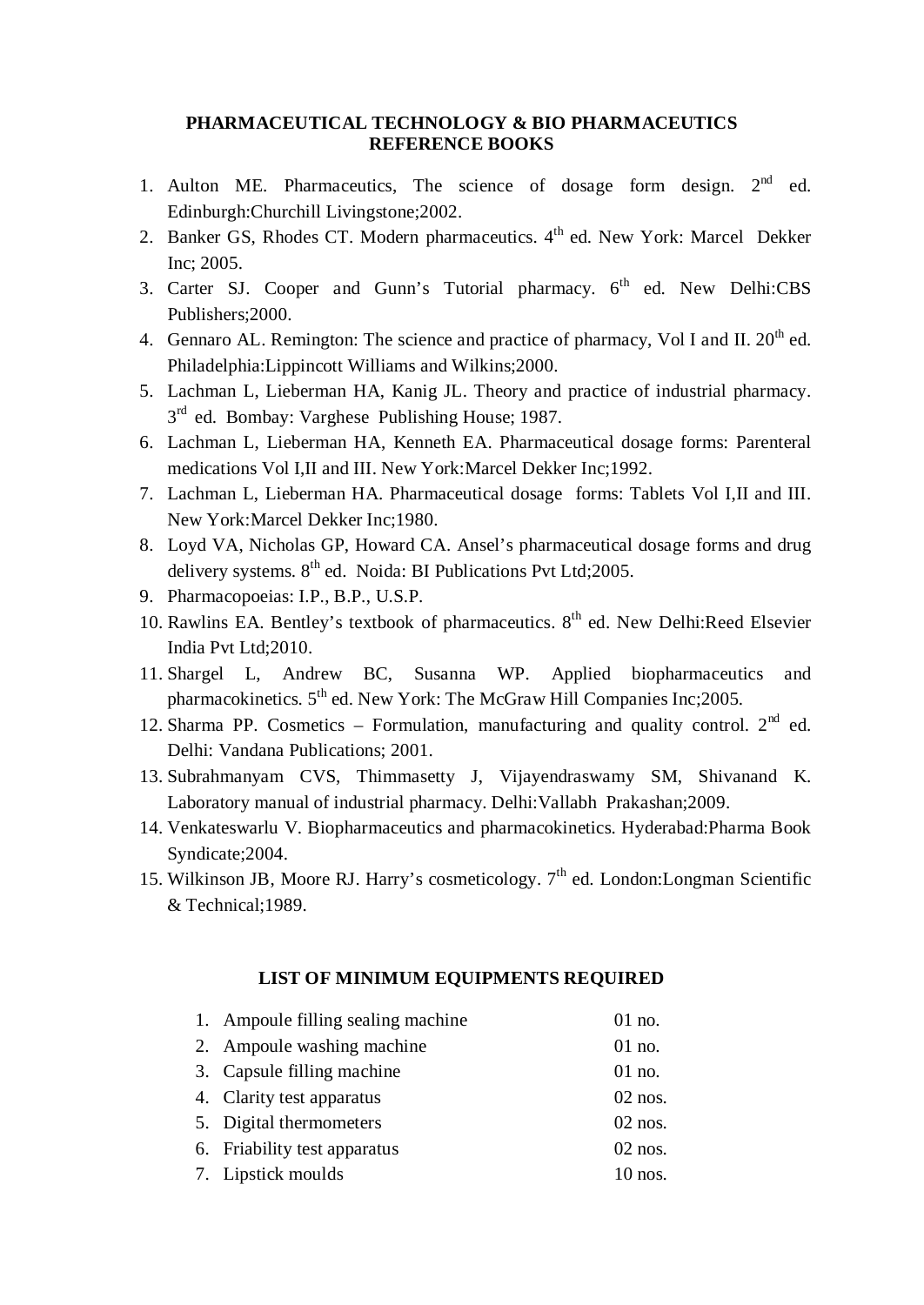#### **PHARMACEUTICAL TECHNOLOGY & BIO PHARMACEUTICS REFERENCE BOOKS**

- 1. Aulton ME. Pharmaceutics, The science of dosage form design.  $2<sup>nd</sup>$  ed. Edinburgh:Churchill Livingstone;2002.
- 2. Banker GS, Rhodes CT. Modern pharmaceutics. 4<sup>th</sup> ed. New York: Marcel Dekker Inc; 2005.
- 3. Carter SJ. Cooper and Gunn's Tutorial pharmacy. 6<sup>th</sup> ed. New Delhi:CBS Publishers;2000.
- 4. Gennaro AL. Remington: The science and practice of pharmacy, Vol I and II.  $20^{th}$  ed. Philadelphia:Lippincott Williams and Wilkins;2000.
- 5. Lachman L, Lieberman HA, Kanig JL. Theory and practice of industrial pharmacy. 3<sup>rd</sup> ed. Bombay: Varghese Publishing House; 1987.
- 6. Lachman L, Lieberman HA, Kenneth EA. Pharmaceutical dosage forms: Parenteral medications Vol I,II and III. New York:Marcel Dekker Inc;1992.
- 7. Lachman L, Lieberman HA. Pharmaceutical dosage forms: Tablets Vol I,II and III. New York:Marcel Dekker Inc;1980.
- 8. Loyd VA, Nicholas GP, Howard CA. Ansel's pharmaceutical dosage forms and drug delivery systems. 8<sup>th</sup> ed. Noida: BI Publications Pvt Ltd;2005.
- 9. Pharmacopoeias: I.P., B.P., U.S.P.
- 10. Rawlins EA. Bentley's textbook of pharmaceutics. 8<sup>th</sup> ed. New Delhi:Reed Elsevier India Pvt Ltd;2010.
- 11. Shargel L, Andrew BC, Susanna WP. Applied biopharmaceutics and pharmacokinetics. 5<sup>th</sup> ed. New York: The McGraw Hill Companies Inc;2005.
- 12. Sharma PP. Cosmetics Formulation, manufacturing and quality control.  $2<sup>nd</sup>$  ed. Delhi: Vandana Publications; 2001.
- 13. Subrahmanyam CVS, Thimmasetty J, Vijayendraswamy SM, Shivanand K. Laboratory manual of industrial pharmacy. Delhi:Vallabh Prakashan;2009.
- 14. Venkateswarlu V. Biopharmaceutics and pharmacokinetics. Hyderabad:Pharma Book Syndicate;2004.
- 15. Wilkinson JB, Moore RJ. Harry's cosmeticology.  $7<sup>th</sup>$  ed. London: Longman Scientific & Technical;1989.

# **LIST OF MINIMUM EQUIPMENTS REQUIRED**

| 1. Ampoule filling sealing machine | $01$ no.  |
|------------------------------------|-----------|
| 2. Ampoule washing machine         | $01$ no.  |
| 3. Capsule filling machine         | $01$ no.  |
| 4. Clarity test apparatus          | $02$ nos. |
| 5. Digital thermometers            | $02$ nos. |
| 6. Friability test apparatus       | $02$ nos. |
| 7. Lipstick moulds                 | $10$ nos. |
|                                    |           |